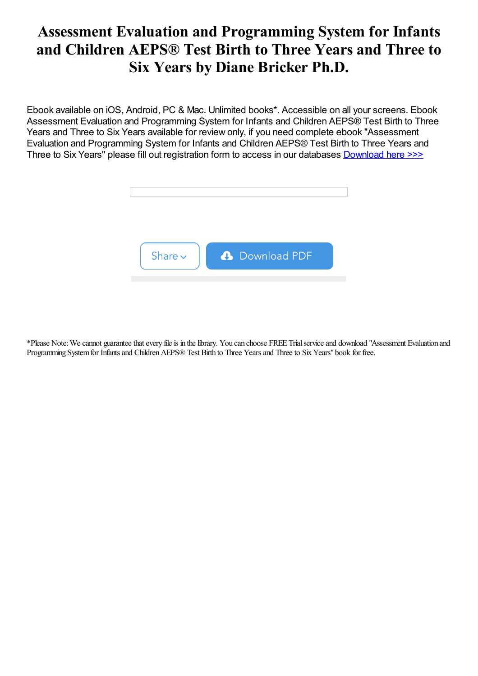# Assessment Evaluation and Programming System for Infants and Children AEPS® Test Birth to Three Years and Three to Six Years by Diane Bricker Ph.D.

Ebook available on iOS, Android, PC & Mac. Unlimited books\*. Accessible on all your screens. Ebook Assessment Evaluation and Programming System for Infants and Children AEPS® Test Birth to Three Years and Three to Six Years available for review only, if you need complete ebook "Assessment Evaluation and Programming System for Infants and Children AEPS® Test Birth to Three Years and Three to Six Years" please fill out registration form to access in our databases [Download](https://damnweek.com/sbookfile/QXNzZXNzbWVudCwgRXZhbHVhdGlvbiwgYW5kIFByb2dyYW1taW5nIFN5c3RlbSBmb3IgSW5mYW50cyBhbmQgQ2hpbGRyZW4gKEFFUFOuKSwgVGVzdDogQmlydGggdG8gVGhyZWUgWWVhcnMgYW5kIFRocmVlIHRvIFNpeCBZZWFycw==) here >>>



\*Please Note:Wecannot guaranteethatevery fileis in thelibrary. You can choose FREE Trialserviceand download "Assessment Evaluation and Programming System for Infants and Children AEPS® Test Birth to Three Years and Three to Six Years" book for free.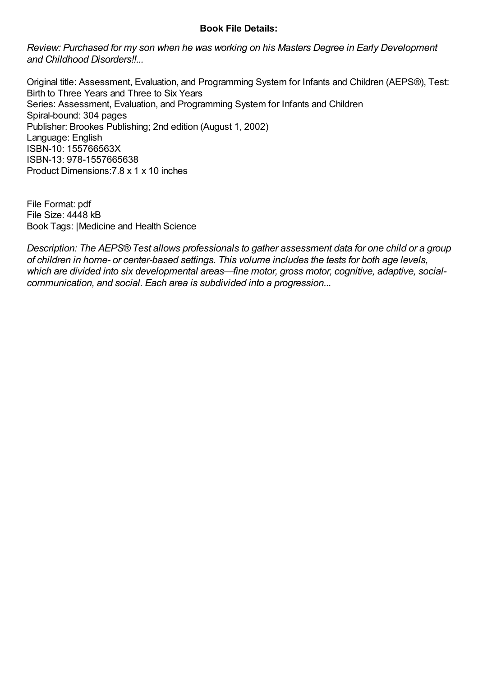### Book File Details:

Review: Purchased for my son when he was working on his Masters Degree in Early Development and Childhood Disorders!!...

Original title: Assessment, Evaluation, and Programming System for Infants and Children (AEPS®), Test: Birth to Three Years and Three to Six Years Series: Assessment, Evaluation, and Programming System for Infants and Children Spiral-bound: 304 pages Publisher: Brookes Publishing; 2nd edition (August 1, 2002) Language: English ISBN-10: 155766563X ISBN-13: 978-1557665638 Product Dimensions:7.8 x 1 x 10 inches

File Format: pdf File Size: 4448 kB Book Tags: |Medicine and Health Science

Description: The AEPS® Test allows professionals to gather assessment data for one child or a group of children in home- or center-based settings. This volume includes the tests for both age levels, which are divided into six developmental areas—fine motor, gross motor, cognitive, adaptive, socialcommunication, and social. Each area is subdivided into a progression...